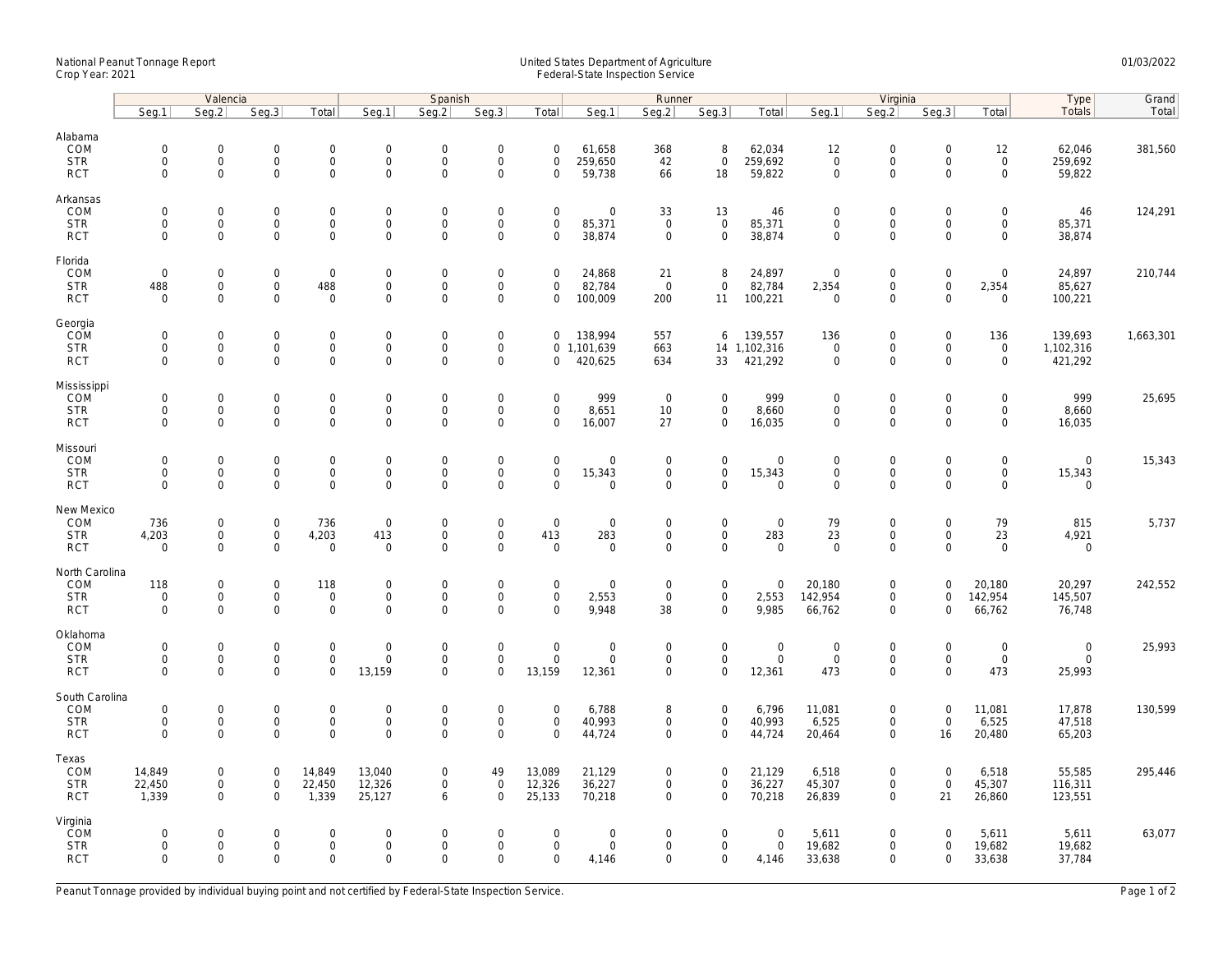## National Peanut Tonnage Report United States Department of Agriculture 01/03/2022 Crop Year: 2021 Federal-State Inspection Service

|                                                   | Valencia                                  |                                                           |                                           |                                                    | Spanish                                       |                                           |                                                           |                                           |                                              | Runner                                    |                                                            |                                        | Virginia                                           |                                                           |                                           |                                                           | Type                                 | Grand     |
|---------------------------------------------------|-------------------------------------------|-----------------------------------------------------------|-------------------------------------------|----------------------------------------------------|-----------------------------------------------|-------------------------------------------|-----------------------------------------------------------|-------------------------------------------|----------------------------------------------|-------------------------------------------|------------------------------------------------------------|----------------------------------------|----------------------------------------------------|-----------------------------------------------------------|-------------------------------------------|-----------------------------------------------------------|--------------------------------------|-----------|
|                                                   | Seg.1                                     | Seg.2                                                     | Seg.3                                     | Total                                              | Seg.1                                         | Seq.2                                     | Seg.3                                                     | Total                                     | Seg.1                                        | Seg.2                                     | Seg.3                                                      | Total                                  | Seg.1                                              | Seg.2                                                     | Seg.3                                     | Total                                                     | Totals                               | Total     |
| Alabama<br>COM<br><b>STR</b><br><b>RCT</b>        | $\mathbf 0$<br>$\mathbf 0$<br>$\Omega$    | $\mathbf 0$<br>$\mathsf{O}\xspace$<br>$\mathbf{0}$        | $\mathbf 0$<br>$\mathbf 0$<br>$\mathbf 0$ | $\mathbf 0$<br>$\mathbf 0$<br>$\mathbf{0}$         | $\mathsf{O}$<br>$\mathbf 0$<br>$\Omega$       | $\mathbf 0$<br>$\mathsf 0$<br>$\Omega$    | $\mathsf{O}\xspace$<br>$\mathsf{O}\xspace$<br>$\Omega$    | $\mathbf 0$<br>$\mathsf 0$<br>$\Omega$    | 61,658<br>259,650<br>59,738                  | 368<br>42<br>66                           | 8<br>$\mathbf 0$<br>18                                     | 62,034<br>259,692<br>59,822            | 12<br>$\mathsf{O}\xspace$<br>$\mathbf 0$           | $\mathbf 0$<br>$\mathsf{O}\xspace$<br>$\Omega$            | $\mathsf 0$<br>$\mathsf 0$<br>$\Omega$    | 12<br>$\mathbf 0$<br>$\mathbf{0}$                         | 62,046<br>259,692<br>59,822          | 381,560   |
| Arkansas<br>COM<br><b>STR</b><br><b>RCT</b>       | $\mathbf 0$<br>$\mathbf 0$<br>$\Omega$    | $\mathbf{0}$<br>$\mathsf{O}\xspace$<br>$\mathbf 0$        | $\mathbf 0$<br>0<br>$\mathbf 0$           | $\mathbf 0$<br>0<br>$\mathbf 0$                    | $\mathbf 0$<br>$\mathsf{O}$<br>$\mathbf 0$    | $\mathbf 0$<br>$\mathsf 0$<br>$\mathbf 0$ | $\mathbf 0$<br>$\mathsf{O}\xspace$<br>$\mathbf 0$         | $\mathbf 0$<br>$\mathsf 0$<br>$\mathbf 0$ | $\mathbf 0$<br>85,371<br>38,874              | 33<br>$\mathsf 0$<br>$\mathbf 0$          | 13<br>$\mathsf 0$<br>$\mathbf 0$                           | 46<br>85,371<br>38,874                 | $\mathbf 0$<br>$\mathsf{O}\xspace$<br>$\mathbf{0}$ | $\mathbf 0$<br>$\mathsf{O}\xspace$<br>$\mathbf 0$         | $\mathbf 0$<br>$\mathbf 0$<br>$\Omega$    | $\mathbf 0$<br>$\mathbf 0$<br>$\mathbf 0$                 | 46<br>85,371<br>38,874               | 124,291   |
| Florida<br>COM<br><b>STR</b><br><b>RCT</b>        | $\mathbf 0$<br>488<br>$\mathbf 0$         | $\mathsf{O}\xspace$<br>$\mathsf{O}\xspace$<br>$\mathbf 0$ | $\mathbf 0$<br>$\mathbf 0$<br>$\mathbf 0$ | $\mathbf 0$<br>488<br>$\mathbf 0$                  | $\mathbf 0$<br>$\mathbf 0$<br>$\mathbf 0$     | $\mathbf 0$<br>$\mathbf 0$<br>$\mathbf 0$ | $\mathsf{O}\xspace$<br>$\mathsf{O}\xspace$<br>$\mathbf 0$ | $\mathbf 0$<br>0<br>$\mathbf 0$           | 24,868<br>82,784<br>100,009                  | 21<br>$\overline{0}$<br>200               | 8<br>$\mathbf 0$<br>11                                     | 24,897<br>82,784<br>100,221            | $\overline{0}$<br>2,354<br>$\overline{0}$          | $\mathbf 0$<br>$\mathsf{O}\xspace$<br>$\mathbf 0$         | $\mathsf 0$<br>$\mathsf 0$<br>$\mathbf 0$ | $\mathsf{O}\xspace$<br>2,354<br>$\mathbf 0$               | 24,897<br>85,627<br>100,221          | 210,744   |
| Georgia<br>COM<br><b>STR</b><br><b>RCT</b>        | $\mathbf 0$<br>$\mathbf 0$<br>$\mathbf 0$ | $\mathsf{O}\xspace$<br>$\mathsf{O}\xspace$<br>$\mathbf 0$ | $\mathbf 0$<br>$\mathbf 0$<br>$\mathbf 0$ | $\mathsf{O}\xspace$<br>$\mathbf 0$<br>$\mathbf{0}$ | $\mathbf 0$<br>$\mathsf{O}$<br>$\mathbf 0$    | $\mathbf 0$<br>$\mathsf 0$<br>$\mathbf 0$ | $\mathsf{O}\xspace$<br>$\mathsf 0$<br>$\mathbf 0$         | $\mathbf 0$<br>0                          | 138,994<br>0 1,101,639<br>420,625            | 557<br>663<br>634                         | 6<br>33                                                    | 139,557<br>14 1,102,316<br>421,292     | 136<br>$\mathbf 0$<br>$\mathbf 0$                  | $\mathbf 0$<br>$\mathsf{O}\xspace$<br>$\mathbf 0$         | $\mathbf 0$<br>$\mathbf 0$<br>$\mathbf 0$ | 136<br>$\mathbf 0$<br>$\mathbf 0$                         | 139,693<br>1,102,316<br>421,292      | 1,663,301 |
| Mississippi<br>COM<br><b>STR</b><br><b>RCT</b>    | $\mathbf 0$<br>$\mathbf 0$<br>$\mathbf 0$ | $\mathbf 0$<br>$\mathsf{O}\xspace$<br>$\mathbf 0$         | $\mathbf 0$<br>0<br>$\mathbf 0$           | $\mathbf{0}$<br>$\mathsf{O}$<br>$\mathbf 0$        | $\mathbf 0$<br>$\mathsf{O}$<br>$\mathbf 0$    | $\mathbf 0$<br>$\mathsf 0$<br>$\mathbf 0$ | $\mathbf 0$<br>$\mathsf 0$<br>$\mathbf 0$                 | $\mathbf 0$<br>0<br>$\mathbf 0$           | 999<br>8,651<br>16,007                       | $\mathbf 0$<br>10<br>27                   | $\mathbf 0$<br>$\mathbf 0$<br>$\mathbf 0$                  | 999<br>8,660<br>16,035                 | $\mathbf 0$<br>$\mathbf 0$<br>0                    | $\mathbf 0$<br>$\mathsf{O}\xspace$<br>$\mathbf 0$         | $\Omega$<br>$\mathbf 0$<br>$\mathbf 0$    | $\mathbf 0$<br>$\mathsf{O}$<br>$\mathbf 0$                | 999<br>8,660<br>16,035               | 25,695    |
| Missouri<br>COM<br><b>STR</b><br><b>RCT</b>       | $\mathbf 0$<br>$\Omega$<br>$\Omega$       | $\mathsf{O}\xspace$<br>0<br>$\mathbf 0$                   | $\mathbf 0$<br>$\mathbf 0$<br>$\mathbf 0$ | $\mathsf{O}\xspace$<br>0<br>$\mathbf 0$            | $\mathbf 0$<br>$\mathbf 0$<br>$\mathbf 0$     | $\mathbf 0$<br>$\mathbf 0$<br>$\Omega$    | $\mathsf{O}\xspace$<br>$\mathsf{O}\xspace$<br>$\mathbf 0$ | $\mathsf 0$<br>$\mathbf 0$<br>$\Omega$    | $\mathsf{O}\xspace$<br>15,343<br>$\mathbf 0$ | $\mathbf 0$<br>$\mathbf 0$<br>$\mathbf 0$ | $\mathsf{O}\xspace$<br>$\mathsf{O}\xspace$<br>$\mathbf{0}$ | $\mathbf 0$<br>15,343<br>$\mathbf 0$   | $\mathbf 0$<br>$\mathbf 0$<br>$\mathbf 0$          | $\mathsf{O}\xspace$<br>$\mathsf{O}\xspace$<br>$\mathbf 0$ | $\mathbf 0$<br>$\mathbf 0$<br>$\mathbf 0$ | $\mathsf{O}\xspace$<br>$\mathsf{O}\xspace$<br>$\mathbf 0$ | $\mathbf 0$<br>15,343<br>$\mathbf 0$ | 15,343    |
| New Mexico<br>COM<br><b>STR</b><br><b>RCT</b>     | 736<br>4,203<br>$\Omega$                  | $\mathsf{O}\xspace$<br>$\mathsf{O}\xspace$<br>$\Omega$    | $\mathbf 0$<br>$\mathbf 0$<br>$\Omega$    | 736<br>4,203<br>$\mathbf 0$                        | $\boldsymbol{0}$<br>413<br>$\mathbf 0$        | $\mathbf 0$<br>$\mathbf 0$<br>$\mathbf 0$ | $\mathsf{O}\xspace$<br>$\mathbf 0$<br>$\Omega$            | $\mathsf 0$<br>413<br>$\Omega$            | $\mathsf{O}\xspace$<br>283<br>$\Omega$       | $\mathbf 0$<br>$\mathbf 0$<br>$\Omega$    | $\mathsf{O}\xspace$<br>$\mathbf 0$<br>$\mathsf{O}$         | $\mathbf 0$<br>283<br>$\mathbf 0$      | 79<br>23<br>$\Omega$                               | $\mathsf{O}\xspace$<br>$\mathbf 0$<br>$\mathsf{O}\xspace$ | $\overline{0}$<br>$\mathbf 0$<br>$\Omega$ | 79<br>23<br>$\mathsf{O}\xspace$                           | 815<br>4,921<br>$\mathbf 0$          | 5,737     |
| North Carolina<br>COM<br><b>STR</b><br><b>RCT</b> | 118<br>$\mathbf 0$<br>$\mathbf 0$         | 0<br>$\mathsf{O}\xspace$<br>$\mathbf 0$                   | $\mathbf 0$<br>$\mathbf 0$<br>$\mathbf 0$ | 118<br>$\mathbf 0$<br>$\mathbf{0}$                 | $\mathbf 0$<br>$\mathbf 0$<br>$\mathbf{0}$    | $\mathbf 0$<br>$\mathbf 0$<br>$\mathbf 0$ | $\mathbf 0$<br>$\mathsf{O}\xspace$<br>$\Omega$            | $\mathbf 0$<br>$\mathbf 0$<br>$\Omega$    | $\mathbf 0$<br>2,553<br>9,948                | $\mathbf 0$<br>$\mathbf 0$<br>38          | $\mathsf{O}\xspace$<br>$\mathbf 0$<br>$\mathbf{0}$         | $\mathbf 0$<br>2,553<br>9,985          | 20,180<br>142,954<br>66,762                        | $\mathbf 0$<br>$\mathsf{O}$<br>$\mathbf 0$                | $\Omega$<br>$\mathbf 0$<br>$\Omega$       | 20,180<br>142,954<br>66,762                               | 20,297<br>145,507<br>76,748          | 242,552   |
| Oklahoma<br>COM<br><b>STR</b><br><b>RCT</b>       | $\mathbf 0$<br>$\mathbf 0$<br>$\Omega$    | $\mathbf 0$<br>$\mathsf{O}\xspace$<br>$\mathbf 0$         | $\mathbf 0$<br>$\mathbf 0$<br>$\mathbf 0$ | $\mathbf{0}$<br>$\mathsf{O}\xspace$<br>$\mathbf 0$ | $\mathbf 0$<br>$\mathsf{O}$<br>13,159         | $\mathbf 0$<br>$\mathbf 0$<br>$\Omega$    | $\mathbf 0$<br>$\mathsf{O}\xspace$<br>$\Omega$            | $\mathbf{0}$<br>$\mathsf 0$<br>13,159     | $\mathbf 0$<br>$\mathsf{O}\xspace$<br>12,361 | $\mathbf 0$<br>$\mathbf 0$<br>$\mathbf 0$ | $\mathbf{0}$<br>$\mathsf{O}\xspace$<br>$\mathbf 0$         | $\mathsf{O}$<br>$\mathsf{O}$<br>12,361 | $\mathbf 0$<br>$\mathsf{O}\xspace$<br>473          | $\mathbf 0$<br>$\mathbf 0$<br>$\mathbf 0$                 | $\mathbf 0$<br>$\mathbf 0$<br>$\Omega$    | $\mathbf 0$<br>$\mathsf{O}\xspace$<br>473                 | $\mathbf 0$<br>$\mathbf 0$<br>25,993 | 25,993    |
| South Carolina<br>COM<br><b>STR</b><br><b>RCT</b> | $\mathbf 0$<br>$\mathbf 0$<br>$\mathbf 0$ | $\mathsf{O}\xspace$<br>0<br>$\mathbf 0$                   | $\mathbf 0$<br>$\mathbf 0$<br>$\mathbf 0$ | $\mathbf 0$<br>$\boldsymbol{0}$<br>$\mathsf{O}$    | $\mathbf 0$<br>$\mathbf 0$<br>$\mathbf 0$     | $\mathbf 0$<br>$\mathbf 0$<br>$\mathbf 0$ | $\mathsf{O}\xspace$<br>$\mathsf{O}\xspace$<br>$\mathbf 0$ | $\mathbf 0$<br>$\mathbf 0$<br>$\mathbf 0$ | 6,788<br>40,993<br>44,724                    | 8<br>0<br>$\mathbf 0$                     | $\mathbf 0$<br>$\mathbf 0$<br>$\mathbf 0$                  | 6,796<br>40,993<br>44,724              | 11,081<br>6,525<br>20,464                          | $\mathsf{O}\xspace$<br>$\mathsf{O}\xspace$<br>$\mathbf 0$ | $\mathbf 0$<br>$\mathbf 0$<br>16          | 11,081<br>6,525<br>20,480                                 | 17,878<br>47,518<br>65,203           | 130,599   |
| Texas<br>COM<br><b>STR</b><br><b>RCT</b>          | 14,849<br>22,450<br>1,339                 | $\mathbf 0$<br>$\mathsf{O}\xspace$<br>$\mathbf{0}$        | $\mathbf 0$<br>$\mathbf 0$<br>$\Omega$    | 14,849<br>22,450<br>1,339                          | 13,040<br>12,326<br>25,127                    | $\mathbf 0$<br>$\mathsf 0$<br>6           | 49<br>$\mathsf 0$<br>$\Omega$                             | 13,089<br>12,326<br>25,133                | 21,129<br>36,227<br>70,218                   | 0<br>0<br>$\Omega$                        | $\mathbf 0$<br>$\mathbf 0$<br>$\mathbf 0$                  | 21,129<br>36,227<br>70,218             | 6,518<br>45,307<br>26,839                          | $\mathbf 0$<br>$\mathsf{O}\xspace$<br>$\mathbf 0$         | $\mathbf 0$<br>$\mathsf 0$<br>21          | 6,518<br>45,307<br>26,860                                 | 55,585<br>116,311<br>123,551         | 295,446   |
| Virginia<br>COM<br><b>STR</b><br><b>RCT</b>       | $\mathbf 0$<br>$\mathbf 0$<br>$\mathbf 0$ | $\mathbf{0}$<br>$\mathsf{O}\xspace$<br>$\mathbf 0$        | $\mathbf 0$<br>$\mathbf 0$<br>$\mathbf 0$ | $\mathbf 0$<br>$\mathsf{O}\xspace$<br>$\mathbf 0$  | $\overline{0}$<br>$\mathsf{O}$<br>$\mathbf 0$ | $\mathbf 0$<br>$\mathbf 0$<br>$\Omega$    | $\mathbf 0$<br>$\mathsf{O}\xspace$<br>$\mathbf 0$         | $\mathbf 0$<br>$\mathsf 0$<br>$\mathbf 0$ | $\mathbf 0$<br>$\mathsf{O}\xspace$<br>4,146  | 0<br>0<br>0                               | $\mathbf 0$<br>$\mathbf 0$<br>$\mathbf 0$                  | $\mathbf 0$<br>$\mathsf 0$<br>4,146    | 5,611<br>19,682<br>33,638                          | $\mathbf 0$<br>$\mathsf{O}\xspace$<br>$\mathbf 0$         | $\Omega$<br>$\mathbf 0$<br>$\mathbf 0$    | 5,611<br>19,682<br>33,638                                 | 5,611<br>19,682<br>37,784            | 63,077    |

Peanut Tonnage provided by individual buying point and not certified by Federal-State Inspection Service. Page 1 of 2